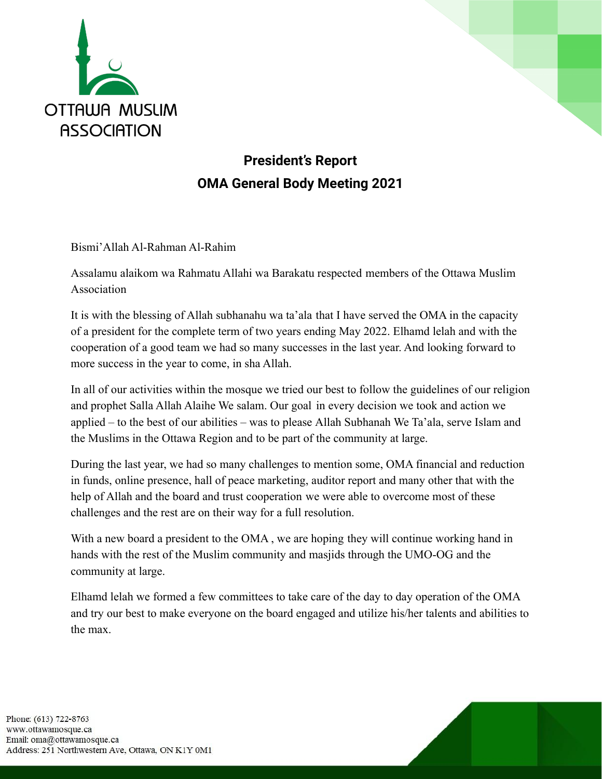

# **President's Report OMA General Body Meeting 2021**

Bismi'Allah Al-Rahman Al-Rahim

Assalamu alaikom wa Rahmatu Allahi wa Barakatu respected members of the Ottawa Muslim Association

It is with the blessing of Allah subhanahu wa ta'ala that I have served the OMA in the capacity of a president for the complete term of two years ending May 2022. Elhamd lelah and with the cooperation of a good team we had so many successes in the last year. And looking forward to more success in the year to come, in sha Allah.

In all of our activities within the mosque we tried our best to follow the guidelines of our religion and prophet Salla Allah Alaihe We salam. Our goal in every decision we took and action we applied – to the best of our abilities – was to please Allah Subhanah We Ta'ala, serve Islam and the Muslims in the Ottawa Region and to be part of the community at large.

During the last year, we had so many challenges to mention some, OMA financial and reduction in funds, online presence, hall of peace marketing, auditor report and many other that with the help of Allah and the board and trust cooperation we were able to overcome most of these challenges and the rest are on their way for a full resolution.

With a new board a president to the OMA, we are hoping they will continue working hand in hands with the rest of the Muslim community and masjids through the UMO-OG and the community at large.

Elhamd lelah we formed a few committees to take care of the day to day operation of the OMA and try our best to make everyone on the board engaged and utilize his/her talents and abilities to the max.

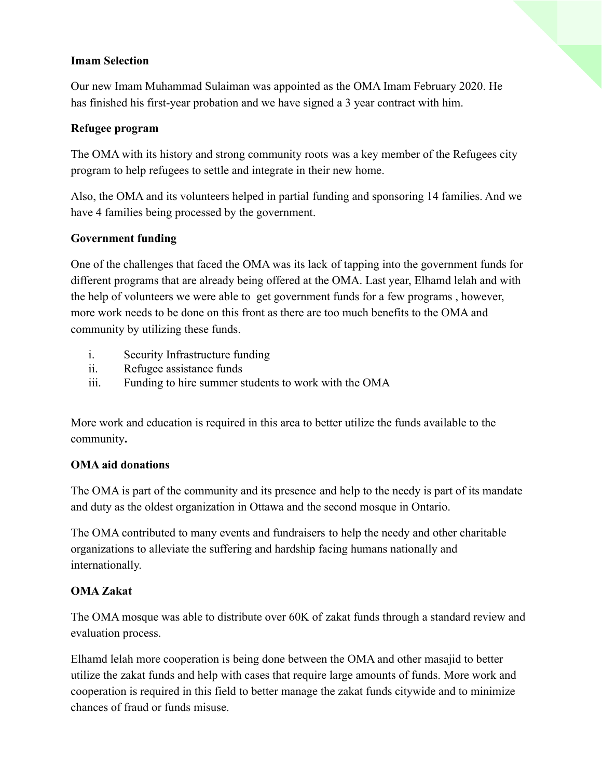# **Imam Selection**

Our new Imam Muhammad Sulaiman was appointed as the OMA Imam February 2020. He has finished his first-year probation and we have signed a 3 year contract with him.

## **Refugee program**

The OMA with its history and strong community roots was a key member of the Refugees city program to help refugees to settle and integrate in their new home.

Also, the OMA and its volunteers helped in partial funding and sponsoring 14 families. And we have 4 families being processed by the government.

# **Government funding**

One of the challenges that faced the OMA was its lack of tapping into the government funds for different programs that are already being offered at the OMA. Last year, Elhamd lelah and with the help of volunteers we were able to get government funds for a few programs , however, more work needs to be done on this front as there are too much benefits to the OMA and community by utilizing these funds.

- i. Security Infrastructure funding
- ii. Refugee assistance funds
- iii. Funding to hire summer students to work with the OMA

More work and education is required in this area to better utilize the funds available to the community**.**

#### **OMA aid donations**

The OMA is part of the community and its presence and help to the needy is part of its mandate and duty as the oldest organization in Ottawa and the second mosque in Ontario.

The OMA contributed to many events and fundraisers to help the needy and other charitable organizations to alleviate the suffering and hardship facing humans nationally and internationally.

# **OMA Zakat**

The OMA mosque was able to distribute over 60K of zakat funds through a standard review and evaluation process.

Elhamd lelah more cooperation is being done between the OMA and other masajid to better utilize the zakat funds and help with cases that require large amounts of funds. More work and cooperation is required in this field to better manage the zakat funds citywide and to minimize chances of fraud or funds misuse.